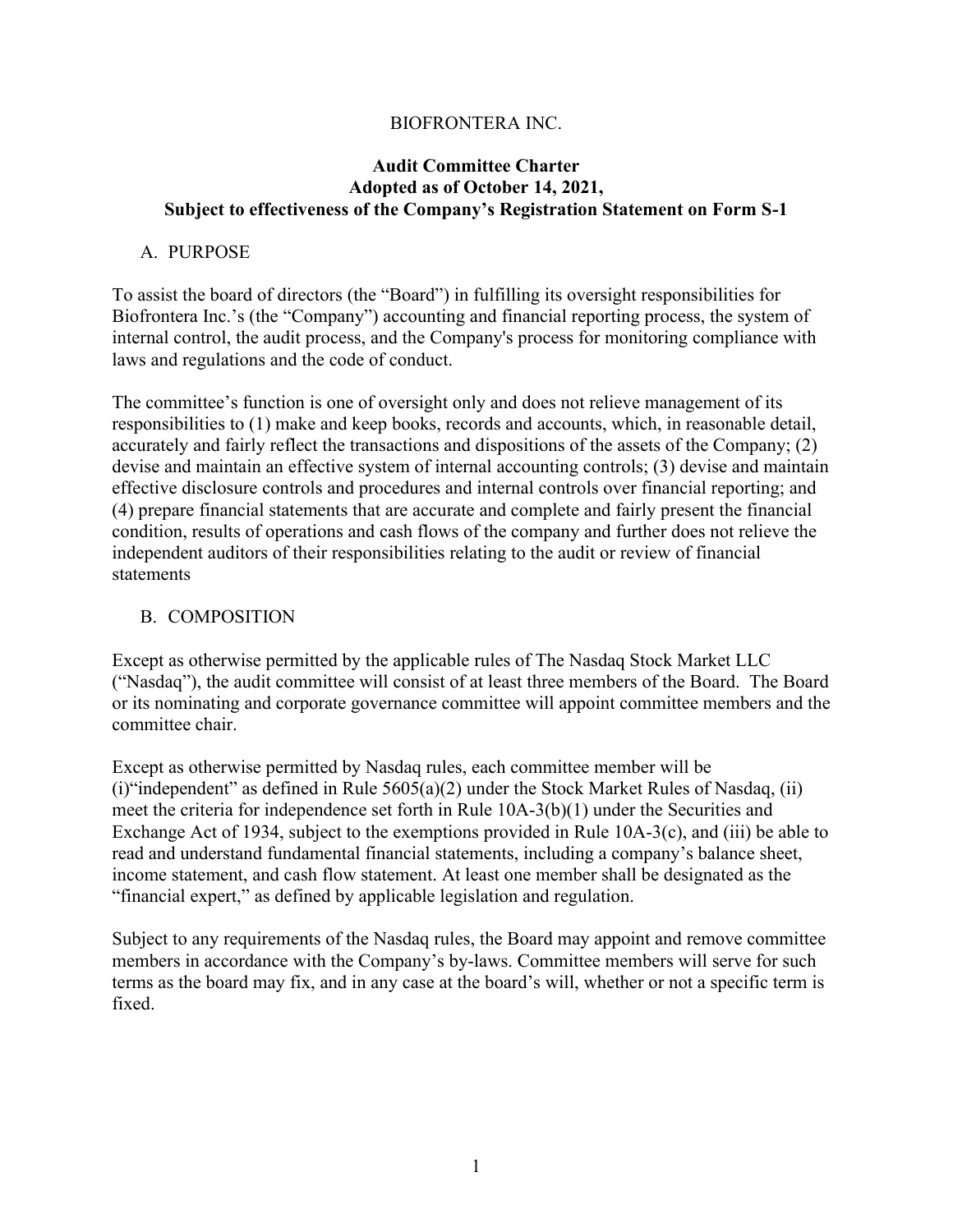#### BIOFRONTERA INC.

#### **Audit Committee Charter Adopted as of October 14, 2021, Subject to effectiveness of the Company's Registration Statement on Form S-1**

#### A. PURPOSE

To assist the board of directors (the "Board") in fulfilling its oversight responsibilities for Biofrontera Inc.'s (the "Company") accounting and financial reporting process, the system of internal control, the audit process, and the Company's process for monitoring compliance with laws and regulations and the code of conduct.

The committee's function is one of oversight only and does not relieve management of its responsibilities to (1) make and keep books, records and accounts, which, in reasonable detail, accurately and fairly reflect the transactions and dispositions of the assets of the Company; (2) devise and maintain an effective system of internal accounting controls; (3) devise and maintain effective disclosure controls and procedures and internal controls over financial reporting; and (4) prepare financial statements that are accurate and complete and fairly present the financial condition, results of operations and cash flows of the company and further does not relieve the independent auditors of their responsibilities relating to the audit or review of financial statements

#### B. COMPOSITION

Except as otherwise permitted by the applicable rules of The Nasdaq Stock Market LLC ("Nasdaq"), the audit committee will consist of at least three members of the Board. The Board or its nominating and corporate governance committee will appoint committee members and the committee chair.

Except as otherwise permitted by Nasdaq rules, each committee member will be (i) "independent" as defined in Rule  $5605(a)(2)$  under the Stock Market Rules of Nasdaq, (ii) meet the criteria for independence set forth in Rule 10A-3(b)(1) under the Securities and Exchange Act of 1934, subject to the exemptions provided in Rule 10A-3(c), and (iii) be able to read and understand fundamental financial statements, including a company's balance sheet, income statement, and cash flow statement. At least one member shall be designated as the "financial expert," as defined by applicable legislation and regulation.

Subject to any requirements of the Nasdaq rules, the Board may appoint and remove committee members in accordance with the Company's by-laws. Committee members will serve for such terms as the board may fix, and in any case at the board's will, whether or not a specific term is fixed.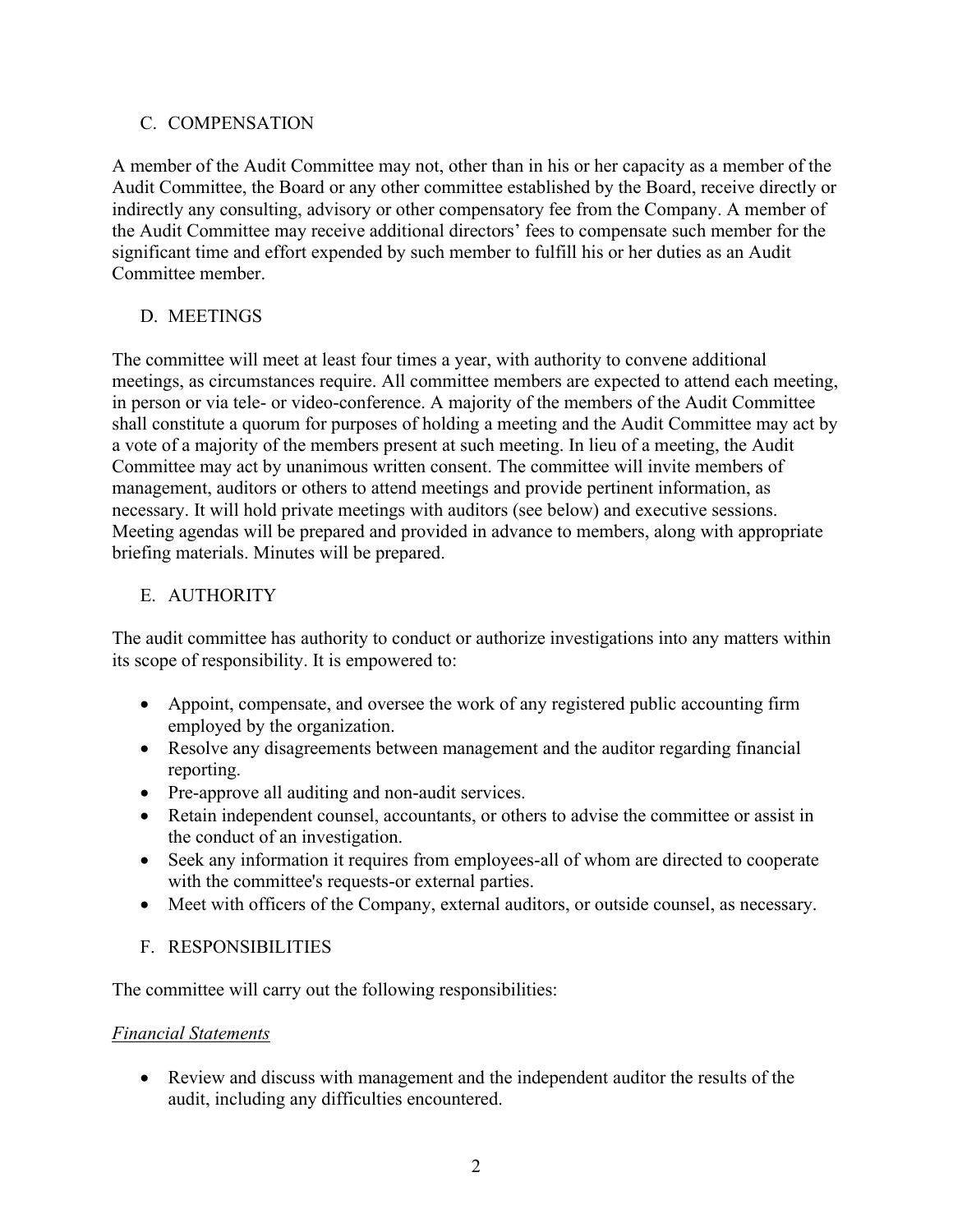### C. COMPENSATION

A member of the Audit Committee may not, other than in his or her capacity as a member of the Audit Committee, the Board or any other committee established by the Board, receive directly or indirectly any consulting, advisory or other compensatory fee from the Company. A member of the Audit Committee may receive additional directors' fees to compensate such member for the significant time and effort expended by such member to fulfill his or her duties as an Audit Committee member.

## D. MEETINGS

The committee will meet at least four times a year, with authority to convene additional meetings, as circumstances require. All committee members are expected to attend each meeting, in person or via tele- or video-conference. A majority of the members of the Audit Committee shall constitute a quorum for purposes of holding a meeting and the Audit Committee may act by a vote of a majority of the members present at such meeting. In lieu of a meeting, the Audit Committee may act by unanimous written consent. The committee will invite members of management, auditors or others to attend meetings and provide pertinent information, as necessary. It will hold private meetings with auditors (see below) and executive sessions. Meeting agendas will be prepared and provided in advance to members, along with appropriate briefing materials. Minutes will be prepared.

### E. AUTHORITY

The audit committee has authority to conduct or authorize investigations into any matters within its scope of responsibility. It is empowered to:

- Appoint, compensate, and oversee the work of any registered public accounting firm employed by the organization.
- Resolve any disagreements between management and the auditor regarding financial reporting.
- Pre-approve all auditing and non-audit services.
- Retain independent counsel, accountants, or others to advise the committee or assist in the conduct of an investigation.
- Seek any information it requires from employees-all of whom are directed to cooperate with the committee's requests-or external parties.
- Meet with officers of the Company, external auditors, or outside counsel, as necessary.

### F. RESPONSIBILITIES

The committee will carry out the following responsibilities:

### *Financial Statements*

• Review and discuss with management and the independent auditor the results of the audit, including any difficulties encountered.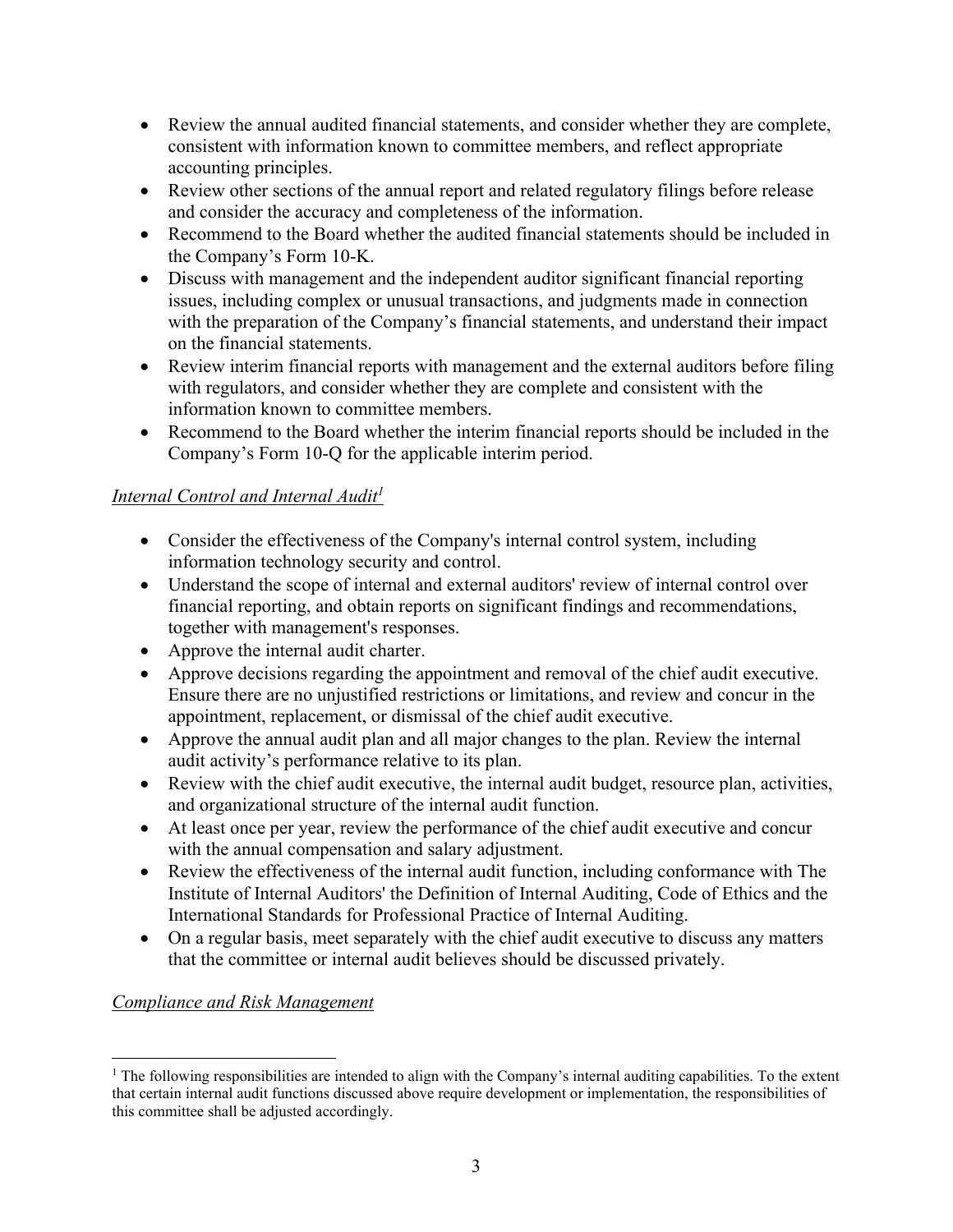- Review the annual audited financial statements, and consider whether they are complete, consistent with information known to committee members, and reflect appropriate accounting principles.
- Review other sections of the annual report and related regulatory filings before release and consider the accuracy and completeness of the information.
- Recommend to the Board whether the audited financial statements should be included in the Company's Form 10-K.
- Discuss with management and the independent auditor significant financial reporting issues, including complex or unusual transactions, and judgments made in connection with the preparation of the Company's financial statements, and understand their impact on the financial statements.
- Review interim financial reports with management and the external auditors before filing with regulators, and consider whether they are complete and consistent with the information known to committee members.
- Recommend to the Board whether the interim financial reports should be included in the Company's Form 10-Q for the applicable interim period.

# *Internal Control and Internal Audit<sup>1</sup>*

- Consider the effectiveness of the Company's internal control system, including information technology security and control.
- Understand the scope of internal and external auditors' review of internal control over financial reporting, and obtain reports on significant findings and recommendations, together with management's responses.
- Approve the internal audit charter.
- Approve decisions regarding the appointment and removal of the chief audit executive. Ensure there are no unjustified restrictions or limitations, and review and concur in the appointment, replacement, or dismissal of the chief audit executive.
- Approve the annual audit plan and all major changes to the plan. Review the internal audit activity's performance relative to its plan.
- Review with the chief audit executive, the internal audit budget, resource plan, activities, and organizational structure of the internal audit function.
- At least once per year, review the performance of the chief audit executive and concur with the annual compensation and salary adjustment.
- Review the effectiveness of the internal audit function, including conformance with The Institute of Internal Auditors' the Definition of Internal Auditing, Code of Ethics and the International Standards for Professional Practice of Internal Auditing.
- On a regular basis, meet separately with the chief audit executive to discuss any matters that the committee or internal audit believes should be discussed privately.

# *Compliance and Risk Management*

 $<sup>1</sup>$  The following responsibilities are intended to align with the Company's internal auditing capabilities. To the extent</sup> that certain internal audit functions discussed above require development or implementation, the responsibilities of this committee shall be adjusted accordingly.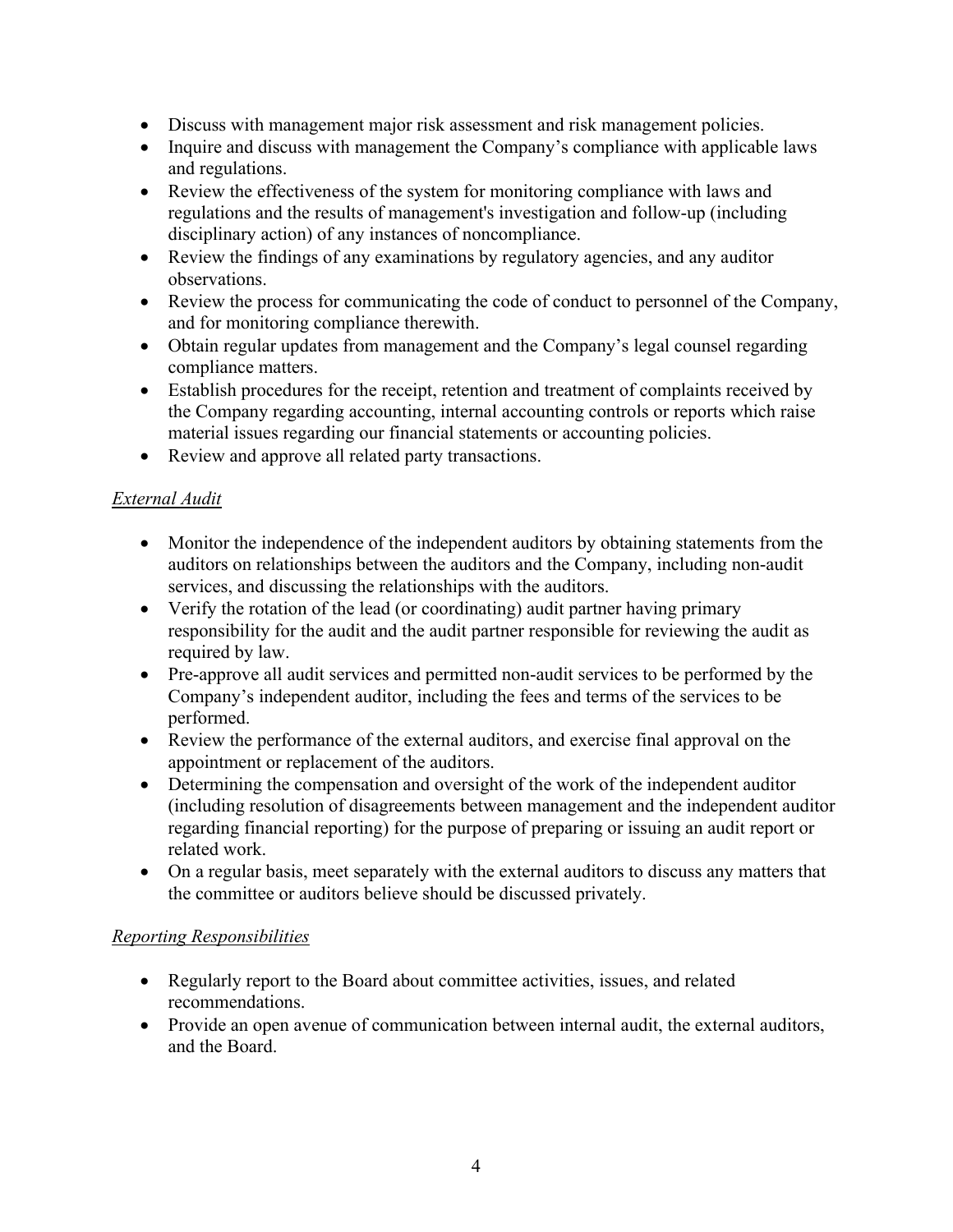- Discuss with management major risk assessment and risk management policies.
- Inquire and discuss with management the Company's compliance with applicable laws and regulations.
- Review the effectiveness of the system for monitoring compliance with laws and regulations and the results of management's investigation and follow-up (including disciplinary action) of any instances of noncompliance.
- Review the findings of any examinations by regulatory agencies, and any auditor observations.
- Review the process for communicating the code of conduct to personnel of the Company, and for monitoring compliance therewith.
- Obtain regular updates from management and the Company's legal counsel regarding compliance matters.
- Establish procedures for the receipt, retention and treatment of complaints received by the Company regarding accounting, internal accounting controls or reports which raise material issues regarding our financial statements or accounting policies.
- Review and approve all related party transactions.

## *External Audit*

- Monitor the independence of the independent auditors by obtaining statements from the auditors on relationships between the auditors and the Company, including non-audit services, and discussing the relationships with the auditors.
- Verify the rotation of the lead (or coordinating) audit partner having primary responsibility for the audit and the audit partner responsible for reviewing the audit as required by law.
- Pre-approve all audit services and permitted non-audit services to be performed by the Company's independent auditor, including the fees and terms of the services to be performed.
- Review the performance of the external auditors, and exercise final approval on the appointment or replacement of the auditors.
- Determining the compensation and oversight of the work of the independent auditor (including resolution of disagreements between management and the independent auditor regarding financial reporting) for the purpose of preparing or issuing an audit report or related work.
- On a regular basis, meet separately with the external auditors to discuss any matters that the committee or auditors believe should be discussed privately.

### *Reporting Responsibilities*

- Regularly report to the Board about committee activities, issues, and related recommendations.
- Provide an open avenue of communication between internal audit, the external auditors, and the Board.